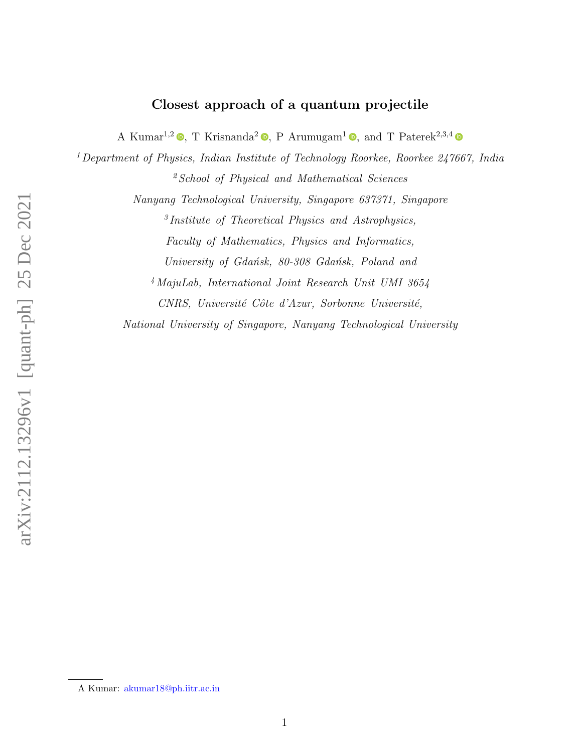# Closest approach of a quantum projectile

A Kumar<sup>1[,](https://orcid.org/0000-0001-9624-8024)2</sup>  $\bullet$ , T Krisnanda<sup>2</sup>  $\bullet$ , P Arumugam<sup>1</sup>  $\bullet$ , and T Paterek<sup>2,3,4</sup>

 $1$  Department of Physics, Indian Institute of Technology Roorkee, Roorkee 247667, India  $<sup>2</sup> School of Physical and Mathematical Sciences$ </sup>

Nanyang Technological University, Singapore 637371, Singapore

3 Institute of Theoretical Physics and Astrophysics, Faculty of Mathematics, Physics and Informatics, University of Gdańsk, 80-308 Gdańsk, Poland and

<sup>4</sup>MajuLab, International Joint Research Unit UMI 3654 CNRS, Université Côte d'Azur, Sorbonne Université,

National University of Singapore, Nanyang Technological University

A Kumar: akumar18@ph.iitr.ac.in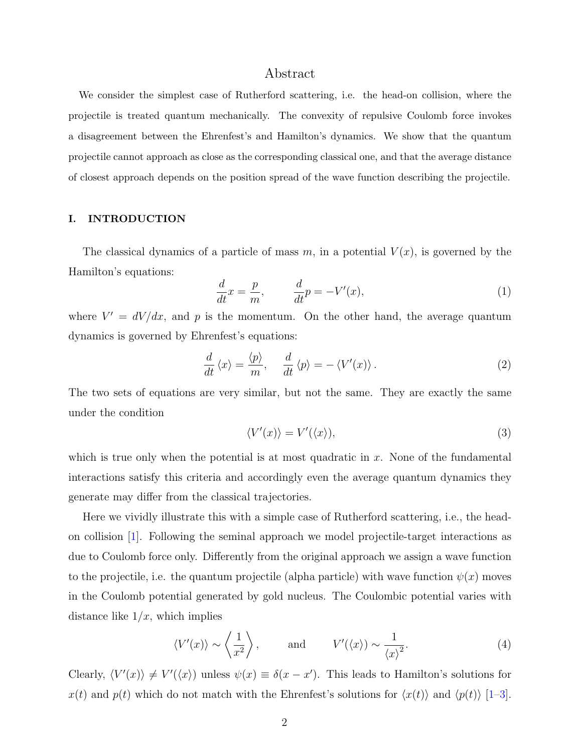# Abstract

We consider the simplest case of Rutherford scattering, i.e. the head-on collision, where the projectile is treated quantum mechanically. The convexity of repulsive Coulomb force invokes a disagreement between the Ehrenfest's and Hamilton's dynamics. We show that the quantum projectile cannot approach as close as the corresponding classical one, and that the average distance of closest approach depends on the position spread of the wave function describing the projectile.

## I. INTRODUCTION

The classical dynamics of a particle of mass m, in a potential  $V(x)$ , is governed by the Hamilton's equations:

$$
\frac{d}{dt}x = \frac{p}{m}, \qquad \frac{d}{dt}p = -V'(x),\tag{1}
$$

where  $V' = dV/dx$ , and p is the momentum. On the other hand, the average quantum dynamics is governed by Ehrenfest's equations:

$$
\frac{d}{dt}\langle x\rangle = \frac{\langle p\rangle}{m}, \quad \frac{d}{dt}\langle p\rangle = -\langle V'(x)\rangle.
$$
\n(2)

The two sets of equations are very similar, but not the same. They are exactly the same under the condition

$$
\langle V'(x) \rangle = V'(\langle x \rangle),\tag{3}
$$

which is true only when the potential is at most quadratic in  $x$ . None of the fundamental interactions satisfy this criteria and accordingly even the average quantum dynamics they generate may differ from the classical trajectories.

Here we vividly illustrate this with a simple case of Rutherford scattering, i.e., the headon collision [\[1\]](#page-5-0). Following the seminal approach we model projectile-target interactions as due to Coulomb force only. Differently from the original approach we assign a wave function to the projectile, i.e. the quantum projectile (alpha particle) with wave function  $\psi(x)$  moves in the Coulomb potential generated by gold nucleus. The Coulombic potential varies with distance like  $1/x$ , which implies

$$
\langle V'(x) \rangle \sim \left\langle \frac{1}{x^2} \right\rangle
$$
, and  $V'(\langle x \rangle) \sim \frac{1}{\langle x \rangle^2}$ . (4)

Clearly,  $\langle V'(x) \rangle \neq V'(\langle x \rangle)$  unless  $\psi(x) \equiv \delta(x - x')$ . This leads to Hamilton's solutions for  $x(t)$  and  $p(t)$  which do not match with the Ehrenfest's solutions for  $\langle x(t) \rangle$  and  $\langle p(t) \rangle$  [\[1–](#page-5-0)[3\]](#page-5-1).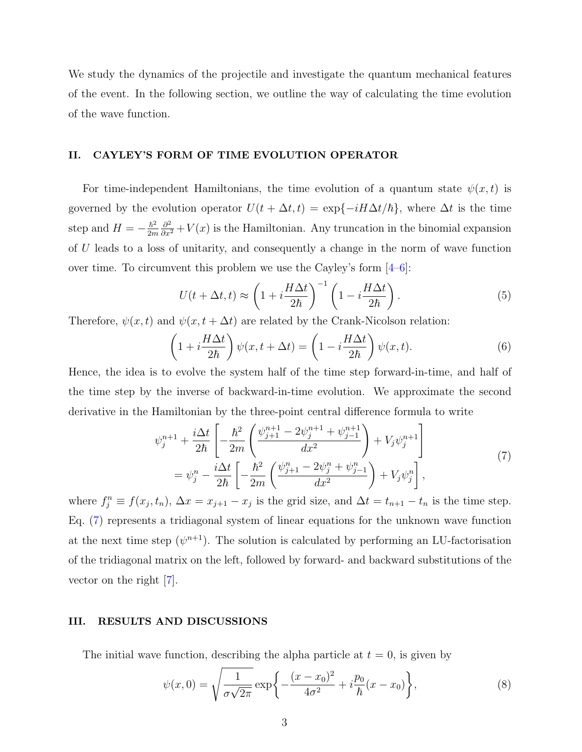We study the dynamics of the projectile and investigate the quantum mechanical features of the event. In the following section, we outline the way of calculating the time evolution of the wave function.

#### <span id="page-2-1"></span>II. CAYLEY'S FORM OF TIME EVOLUTION OPERATOR

For time-independent Hamiltonians, the time evolution of a quantum state  $\psi(x, t)$  is governed by the evolution operator  $U(t + \Delta t, t) = \exp{-iH\Delta t/\hbar}$ , where  $\Delta t$  is the time step and  $H = -\frac{\hbar^2}{2m}$ 2m  $\frac{\partial^2}{\partial x^2} + V(x)$  is the Hamiltonian. Any truncation in the binomial expansion of U leads to a loss of unitarity, and consequently a change in the norm of wave function over time. To circumvent this problem we use the Cayley's form  $[4-6]$  $[4-6]$ :

$$
U(t + \Delta t, t) \approx \left(1 + i\frac{H\Delta t}{2\hbar}\right)^{-1} \left(1 - i\frac{H\Delta t}{2\hbar}\right). \tag{5}
$$

Therefore,  $\psi(x, t)$  and  $\psi(x, t + \Delta t)$  are related by the Crank-Nicolson relation:

$$
\left(1 + i\frac{H\Delta t}{2\hbar}\right)\psi(x, t + \Delta t) = \left(1 - i\frac{H\Delta t}{2\hbar}\right)\psi(x, t).
$$
\n(6)

Hence, the idea is to evolve the system half of the time step forward-in-time, and half of the time step by the inverse of backward-in-time evolution. We approximate the second derivative in the Hamiltonian by the three-point central difference formula to write

$$
\psi_j^{n+1} + \frac{i\Delta t}{2\hbar} \left[ -\frac{\hbar^2}{2m} \left( \frac{\psi_{j+1}^{n+1} - 2\psi_j^{n+1} + \psi_{j-1}^{n+1}}{dx^2} \right) + V_j \psi_j^{n+1} \right] \n= \psi_j^n - \frac{i\Delta t}{2\hbar} \left[ -\frac{\hbar^2}{2m} \left( \frac{\psi_{j+1}^n - 2\psi_j^n + \psi_{j-1}^n}{dx^2} \right) + V_j \psi_j^n \right],
$$
\n(7)

<span id="page-2-0"></span>where  $f_j^n \equiv f(x_j, t_n)$ ,  $\Delta x = x_{j+1} - x_j$  is the grid size, and  $\Delta t = t_{n+1} - t_n$  is the time step. Eq. [\(7\)](#page-2-0) represents a tridiagonal system of linear equations for the unknown wave function at the next time step  $(\psi^{n+1})$ . The solution is calculated by performing an LU-factorisation of the tridiagonal matrix on the left, followed by forward- and backward substitutions of the vector on the right [\[7\]](#page-5-4).

# III. RESULTS AND DISCUSSIONS

The initial wave function, describing the alpha particle at  $t = 0$ , is given by

$$
\psi(x,0) = \sqrt{\frac{1}{\sigma\sqrt{2\pi}}} \exp\left\{-\frac{(x-x_0)^2}{4\sigma^2} + i\frac{p_0}{\hbar}(x-x_0)\right\},\tag{8}
$$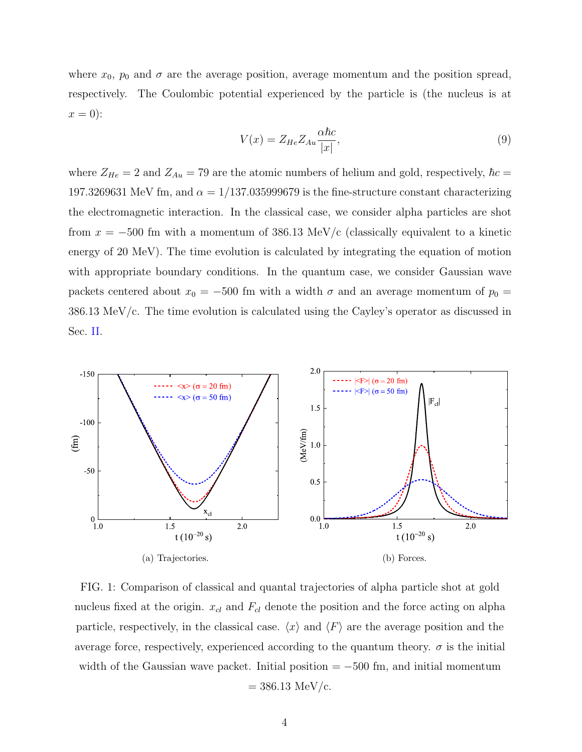where  $x_0$ ,  $p_0$  and  $\sigma$  are the average position, average momentum and the position spread, respectively. The Coulombic potential experienced by the particle is (the nucleus is at  $x=0$ :

$$
V(x) = Z_{He} Z_{Au} \frac{\alpha \hbar c}{|x|},\tag{9}
$$

where  $Z_{He} = 2$  and  $Z_{Au} = 79$  are the atomic numbers of helium and gold, respectively,  $\hbar c =$ 197.3269631 MeV fm, and  $\alpha = 1/137.035999679$  is the fine-structure constant characterizing the electromagnetic interaction. In the classical case, we consider alpha particles are shot from  $x = -500$  fm with a momentum of 386.13 MeV/c (classically equivalent to a kinetic energy of 20 MeV). The time evolution is calculated by integrating the equation of motion with appropriate boundary conditions. In the quantum case, we consider Gaussian wave packets centered about  $x_0 = -500$  fm with a width  $\sigma$  and an average momentum of  $p_0 =$ 386.13 MeV/c. The time evolution is calculated using the Cayley's operator as discussed in Sec. [II.](#page-2-1)

<span id="page-3-0"></span>

<span id="page-3-1"></span>FIG. 1: Comparison of classical and quantal trajectories of alpha particle shot at gold nucleus fixed at the origin.  $x_{cl}$  and  $F_{cl}$  denote the position and the force acting on alpha particle, respectively, in the classical case.  $\langle x \rangle$  and  $\langle F \rangle$  are the average position and the average force, respectively, experienced according to the quantum theory.  $\sigma$  is the initial width of the Gaussian wave packet. Initial position  $= -500$  fm, and initial momentum  $= 386.13$  MeV/c.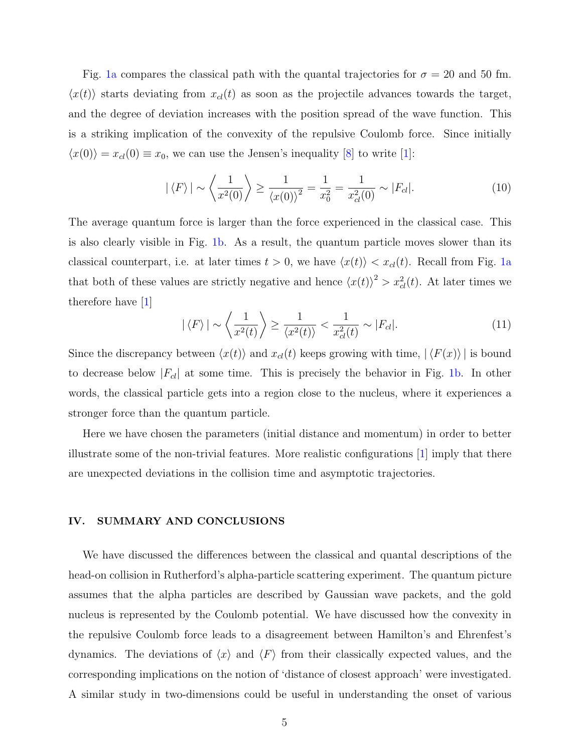Fig. [1a](#page-3-0) compares the classical path with the quantal trajectories for  $\sigma = 20$  and 50 fm.  $\langle x(t) \rangle$  starts deviating from  $x_{cl}(t)$  as soon as the projectile advances towards the target, and the degree of deviation increases with the position spread of the wave function. This is a striking implication of the convexity of the repulsive Coulomb force. Since initially  $\langle x(0)\rangle = x_{cl}(0) \equiv x_0$ , we can use the Jensen's inequality [\[8\]](#page-5-5) to write [\[1\]](#page-5-0):

$$
|\langle F \rangle| \sim \left\langle \frac{1}{x^2(0)} \right\rangle \ge \frac{1}{\langle x(0) \rangle^2} = \frac{1}{x_0^2} = \frac{1}{x_{cl}^2(0)} \sim |F_{cl}|.
$$
 (10)

The average quantum force is larger than the force experienced in the classical case. This is also clearly visible in Fig. [1b.](#page-3-1) As a result, the quantum particle moves slower than its classical counterpart, i.e. at later times  $t > 0$ , we have  $\langle x(t) \rangle < x_{cl}(t)$ . Recall from Fig. [1a](#page-3-0) that both of these values are strictly negative and hence  $\langle x(t) \rangle^2 > x_{cl}^2(t)$ . At later times we therefore have [\[1\]](#page-5-0)

$$
|\langle F \rangle| \sim \left\langle \frac{1}{x^2(t)} \right\rangle \ge \frac{1}{\langle x^2(t) \rangle} < \frac{1}{x_{cl}^2(t)} \sim |F_{cl}|. \tag{11}
$$

Since the discrepancy between  $\langle x(t) \rangle$  and  $x_{cl}(t)$  keeps growing with time,  $| \langle F(x) \rangle |$  is bound to decrease below  $|F_{cl}|$  at some time. This is precisely the behavior in Fig. [1b.](#page-3-1) In other words, the classical particle gets into a region close to the nucleus, where it experiences a stronger force than the quantum particle.

Here we have chosen the parameters (initial distance and momentum) in order to better illustrate some of the non-trivial features. More realistic configurations [\[1\]](#page-5-0) imply that there are unexpected deviations in the collision time and asymptotic trajectories.

#### IV. SUMMARY AND CONCLUSIONS

We have discussed the differences between the classical and quantal descriptions of the head-on collision in Rutherford's alpha-particle scattering experiment. The quantum picture assumes that the alpha particles are described by Gaussian wave packets, and the gold nucleus is represented by the Coulomb potential. We have discussed how the convexity in the repulsive Coulomb force leads to a disagreement between Hamilton's and Ehrenfest's dynamics. The deviations of  $\langle x \rangle$  and  $\langle F \rangle$  from their classically expected values, and the corresponding implications on the notion of 'distance of closest approach' were investigated. A similar study in two-dimensions could be useful in understanding the onset of various